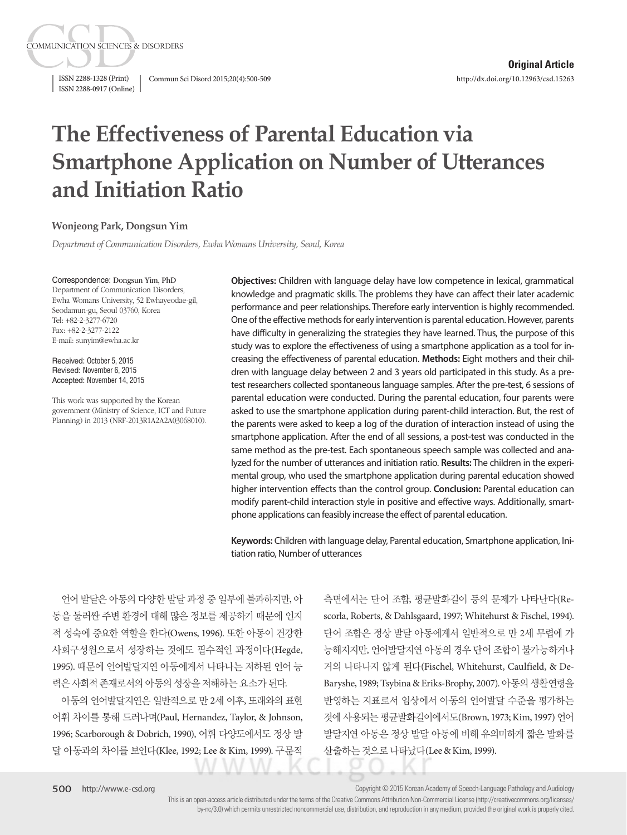ISSN 2288-0917 (Online)

**COMMUNICATION SCIENCES & DISORDERS** 

ISSN 2288-1328 (Print) Commun Sci Disord 2015;20(4):500-509

# **The Effectiveness of Parental Education via Smartphone Application on Number of Utterances and Initiation Ratio**

#### **Wonjeong Park, Dongsun Yim**

*Department of Communication Disorders, Ewha Womans University, Seoul, Korea*

#### Correspondence: Dongsun Yim, PhD

Department of Communication Disorders, Ewha Womans University, 52 Ewhayeodae-gil, Seodamun-gu, Seoul 03760, Korea Tel: +82-2-3277-6720 Fax: +82-2-3277-2122 E-mail: sunyim@ewha.ac.kr

Received: October 5, 2015 Revised: November 6, 2015 Accepted: November 14, 2015

This work was supported by the Korean government (Ministry of Science, ICT and Future Planning) in 2013 (NRF-2013R1A2A2A03068010).

**Objectives:** Children with language delay have low competence in lexical, grammatical knowledge and pragmatic skills. The problems they have can affect their later academic performance and peer relationships. Therefore early intervention is highly recommended. One of the effective methods for early intervention is parental education. However, parents have difficulty in generalizing the strategies they have learned. Thus, the purpose of this study was to explore the effectiveness of using a smartphone application as a tool for increasing the effectiveness of parental education. **Methods:** Eight mothers and their children with language delay between 2 and 3 years old participated in this study. As a pretest researchers collected spontaneous language samples. After the pre-test, 6 sessions of parental education were conducted. During the parental education, four parents were asked to use the smartphone application during parent-child interaction. But, the rest of the parents were asked to keep a log of the duration of interaction instead of using the smartphone application. After the end of all sessions, a post-test was conducted in the same method as the pre-test. Each spontaneous speech sample was collected and analyzed for the number of utterances and initiation ratio. **Results:** The children in the experimental group, who used the smartphone application during parental education showed higher intervention effects than the control group. **Conclusion:** Parental education can modify parent-child interaction style in positive and effective ways. Additionally, smartphone applications can feasibly increase the effect of parental education.

**Keywords:** Children with language delay, Parental education, Smartphone application, Initiation ratio, Number of utterances

언어 발달은 아동의 다양한 발달 과정 중 일부에 불과하지만, 아 동을 둘러싼 주변 환경에 대해 많은 정보를 제공하기 때문에 인지 적 성숙에 중요한 역할을 한다(Owens, 1996). 또한 아동이 건강한 사회구성원으로서 성장하는 것에도 필수적인 과정이다(Hegde, 1995). 때문에 언어발달지연 아동에게서 나타나는 저하된 언어 능 력은 사회적 존재로서의 아동의 성장을 저해하는 요소가 된다.

아동의 언어발달지연은 일반적으로 만 2세 이후, 또래와의 표현 어휘 차이를 통해 드러나며(Paul, Hernandez, Taylor, & Johnson, 1996; Scarborough & Dobrich, 1990), 어휘 다양도에서도 정상 발 달 아동과의 차이를 보인다(Klee, 1992; Lee & Kim, 1999). 구문적

측면에서는 단어 조합, 평균발화길이 등의 문제가 나타난다(Rescorla, Roberts, & Dahlsgaard, 1997; Whitehurst & Fischel, 1994). 단어 조합은 정상 발달 아동에게서 일반적으로 만 2세 무렵에 가 능해지지만, 언어발달지연 아동의 경우 단어 조합이 불가능하거나 거의 나타나지 않게 된다(Fischel, Whitehurst, Caulfield, & De-Baryshe, 1989; Tsybina & Eriks-Brophy, 2007). 아동의 생활연령을 반영하는 지표로서 임상에서 아동의 언어발달 수준을 평가하는 것에사용되는평균발화길이에서도(Brown, 1973; Kim, 1997) 언어 발달지연 아동은 정상 발달 아동에 비해 유의미하게 짧은 발화를 산출하는 것으로 나타났다(Lee & Kim, 1999).

Copyright © 2015 Korean Academy of Speech-Language Pathology and Audiology

This is an open-access article distributed under the terms of the Creative Commons Attribution Non-Commercial License (http://creativecommons.org/licenses/ by-nc/3.0) which permits unrestricted noncommercial use, distribution, and reproduction in any medium, provided the original work is properly cited.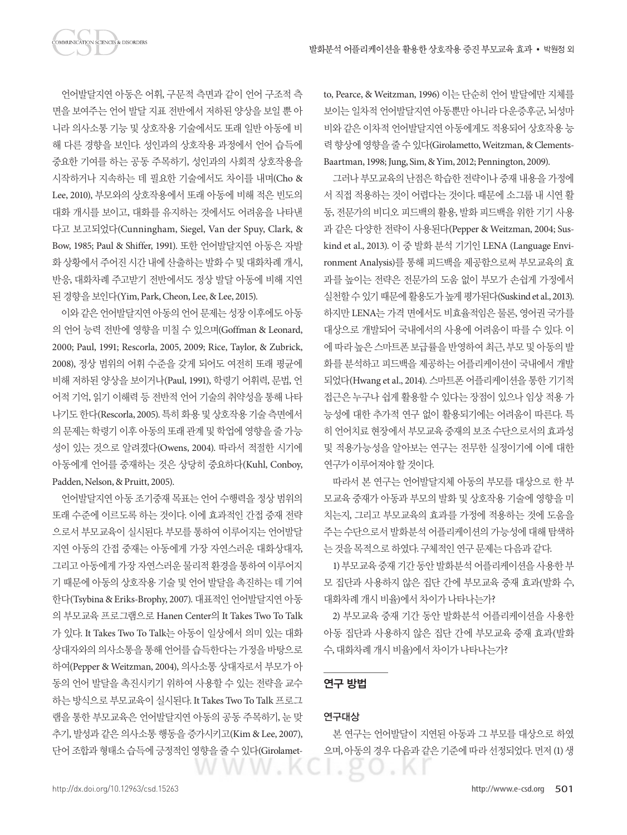언어발달지연 아동은 어휘, 구문적 측면과 같이 언어 구조적 측 면을 보여주는 언어 발달 지표 전반에서 저하된 양상을 보일 뿐 아 니라 의사소통 기능 및 상호작용 기술에서도 또래 일반 아동에 비 해 다른 경향을 보인다. 성인과의 상호작용 과정에서 언어 습득에 중요한 기여를 하는 공동 주목하기, 성인과의 사회적 상호작용을 시작하거나 지속하는 데 필요한 기술에서도 차이를 내며(Cho & Lee, 2010), 부모와의 상호작용에서 또래 아동에 비해 적은 빈도의 대화 개시를 보이고, 대화를 유지하는 것에서도 어려움을 나타낸

**DMMUNICATION SCIENCES & DISORDERS** 

다고 보고되었다(Cunningham, Siegel, Van der Spuy, Clark, & Bow, 1985; Paul & Shiffer, 1991). 또한 언어발달지연 아동은 자발 화 상황에서 주어진 시간 내에 산출하는 발화 수 및 대화차례 개시, 반응, 대화차례 주고받기 전반에서도 정상 발달 아동에 비해 지연 된경향을보인다(Yim, Park, Cheon, Lee, & Lee, 2015).

이와 같은 언어발달지연 아동의 언어 문제는 성장 이후에도 아동 의 언어 능력 전반에 영향을 미칠 수 있으며(Goffman & Leonard, 2000; Paul, 1991; Rescorla, 2005, 2009; Rice, Taylor, & Zubrick, 2008), 정상 범위의 어휘 수준을 갖게 되어도 여전히 또래 평균에 비해 저하된 양상을 보이거나(Paul, 1991), 학령기 어휘력, 문법, 언 어적 기억, 읽기 이해력 등 전반적 언어 기술의 취약성을 통해 나타 나기도한다(Rescorla, 2005). 특히화용및상호작용기술측면에서 의 문제는 학령기 이후 아동의 또래 관계 및 학업에 영향을 줄 가능 성이 있는 것으로 알려졌다(Owens, 2004). 따라서 적절한 시기에 아동에게 언어를 중재하는 것은 상당히 중요하다(Kuhl, Conboy, Padden, Nelson, & Pruitt, 2005).

언어발달지연 아동 조기중재 목표는 언어 수행력을 정상 범위의 또래 수준에 이르도록 하는 것이다. 이에 효과적인 간접 중재 전략 으로서 부모교육이 실시된다. 부모를 통하여 이루어지는 언어발달 지연 아동의 간접 중재는 아동에게 가장 자연스러운 대화상대자, 그리고 아동에게 가장 자연스러운 물리적 환경을 통하여 이루어지 기 때문에 아동의 상호작용 기술 및 언어 발달을 촉진하는 데 기여 한다(Tsybina & Eriks-Brophy, 2007). 대표적인 언어발달지연 아동 의 부모교육 프로그램으로 Hanen Center의 It Takes Two To Talk 가 있다. It Takes Two To Talk는 아동이 일상에서 의미 있는 대화 상대자와의 의사소통을 통해 언어를 습득한다는 가정을 바탕으로 하여(Pepper & Weitzman, 2004), 의사소통 상대자로서 부모가 아 동의 언어 발달을 촉진시키기 위하여 사용할 수 있는 전략을 교수 하는 방식으로 부모교육이 실시된다. It Takes Two To Talk 프로그 램을 통한 부모교육은 언어발달지연 아동의 공동 주목하기, 눈 맞 추기, 발성과 같은 의사소통 행동을 증가시키고(Kim & Lee, 2007), 단어 조합과 형태소 습득에 긍정적인 영향을 줄 수 있다(Girolametto, Pearce, & Weitzman, 1996) 이는 단순히 언어 발달에만 지체를 보이는 일차적 언어발달지연 아동뿐만 아니라 다운증후군, 뇌성마 비와 같은 이차적 언어발달지연 아동에게도 적용되어 상호작용 능 력향상에영향을줄수있다(Girolametto, Weitzman, & Clements-Baartman, 1998; Jung, Sim, & Yim, 2012; Pennington, 2009).

그러나 부모교육의 난점은 학습한 전략이나 중재 내용을 가정에 서 직접 적용하는 것이 어렵다는 것이다. 때문에 소그룹 내 시연 활 동, 전문가의 비디오 피드백의 활용, 발화 피드백을 위한 기기 사용 과 같은 다양한 전략이 사용된다(Pepper & Weitzman, 2004; Suskind et al., 2013). 이 중 발화 분석 기기인 LENA (Language Environment Analysis)를 통해 피드백을 제공함으로써 부모교육의 효 과를 높이는 전략은 전문가의 도움 없이 부모가 손쉽게 가정에서 실천할 수 있기 때문에 활용도가 높게 평가된다(Suskind et al., 2013). 하지만 LENA는 가격 면에서도 비효율적임은 물론, 영어권 국가를 대상으로 개발되어 국내에서의 사용에 어려움이 따를 수 있다. 이 에따라높은스마트폰보급률을반영하여최근, 부모및아동의발 화를 분석하고 피드백을 제공하는 어플리케이션이 국내에서 개발 되었다(Hwang et al., 2014). 스마트폰 어플리케이션을 통한 기기적 접근은 누구나 쉽게 활용할 수 있다는 장점이 있으나 임상 적용 가 능성에 대한 추가적 연구 없이 활용되기에는 어려움이 따른다. 특 히 언어치료 현장에서 부모교육 중재의 보조 수단으로서의 효과성 및 적용가능성을 알아보는 연구는 전무한 실정이기에 이에 대한 연구가이루어져야할것이다.

따라서 본 연구는 언어발달지체 아동의 부모를 대상으로 한 부 모교육 중재가 아동과 부모의 발화 및 상호작용 기술에 영향을 미 치는지, 그리고 부모교육의 효과를 가정에 적용하는 것에 도움을 주는 수단으로서 발화분석 어플리케이션의 가능성에 대해 탐색하 는 것을 목적으로 하였다. 구체적인 연구 문제는 다음과 같다.

1) 부모교육 중재 기간 동안 발화분석 어플리케이션을 사용한 부 모 집단과 사용하지 않은 집단 간에 부모교육 중재 효과(발화 수, 대화차례 개시 비율)에서 차이가 나타나는가?

2) 부모교육 중재 기간 동안 발화분석 어플리케이션을 사용한 아동 집단과 사용하지 않은 집단 간에 부모교육 중재 효과(발화 수, 대화차례개시비율)에서차이가나타나는가?

# 연구 방법

## 연구대상

본 연구는 언어발달이 지연된 아동과 그 부모를 대상으로 하였 으며, 아동의 경우 다음과 같은 기준에 따라 선정되었다. 먼저 (1) 생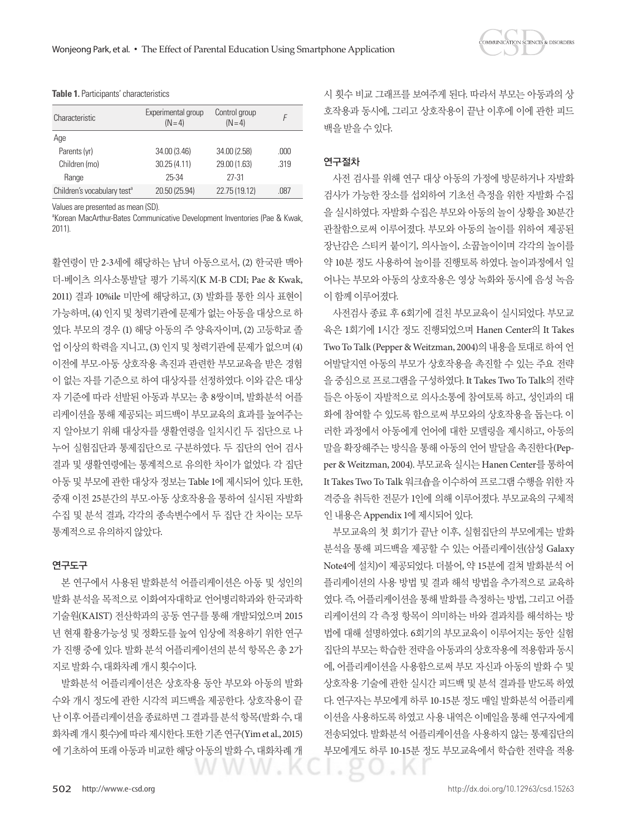

| Characteristic                          | Experimental group<br>$(N=4)$ | Control group<br>$(N=4)$ |      |
|-----------------------------------------|-------------------------------|--------------------------|------|
| Age                                     |                               |                          |      |
| Parents (yr)                            | 34.00 (3.46)                  | 34.00 (2.58)             | .000 |
| Children (mo)                           | 30.25(4.11)                   | 29.00 (1.63)             | .319 |
| Range                                   | 25-34                         | 27-31                    |      |
| Children's vocabulary test <sup>a</sup> | 20.50 (25.94)                 | 22.75 (19.12)            | .087 |

#### **Table 1.** Participants' characteristics

Values are presented as mean (SD).

<sup>a</sup>Korean MacArthur-Bates Communicative Development Inventories (Pae & Kwak, 2011).

활연령이 만 2-3세에 해당하는 남녀 아동으로서, (2) 한국판 맥아 더-베이츠 의사소통발달 평가 기록지(K M-B CDI; Pae & Kwak, 2011) 결과 10%ile 미만에 해당하고, (3) 발화를 통한 의사 표현이 가능하며, (4) 인지 및 청력기관에 문제가 없는 아동을 대상으로 하 였다. 부모의 경우 (1) 해당 아동의 주 양육자이며, (2) 고등학교 졸 업 이상의 학력을 지니고, (3) 인지 및 청력기관에 문제가 없으며 (4) 이전에 부모-아동 상호작용 촉진과 관련한 부모교육을 받은 경험 이 없는 자를 기준으로 하여 대상자를 선정하였다. 이와 같은 대상 자 기준에 따라 선발된 아동과 부모는 총 8쌍이며, 발화분석 어플 리케이션을 통해 제공되는 피드백이 부모교육의 효과를 높여주는 지 알아보기 위해 대상자를 생활연령을 일치시킨 두 집단으로 나 누어 실험집단과 통제집단으로 구분하였다. 두 집단의 언어 검사 결과 및 생활연령에는 통계적으로 유의한 차이가 없었다. 각 집단 아동 및 부모에 관한 대상자 정보는 Table 1에 제시되어 있다. 또한, 중재 이전 25분간의 부모-아동 상호작용을 통하여 실시된 자발화 수집 및 분석 결과, 각각의 종속변수에서 두 집단 간 차이는 모두 통계적으로유의하지않았다.

#### 연구도구

본 연구에서 사용된 발화분석 어플리케이션은 아동 및 성인의 발화 분석을 목적으로 이화여자대학교 언어병리학과와 한국과학 기술원(KAIST) 전산학과의 공동 연구를 통해 개발되었으며 2015 년 현재 활용가능성 및 정확도를 높여 임상에 적용하기 위한 연구 가 진행 중에 있다. 발화 분석 어플리케이션의 분석 항목은 총 2가 지로발화수, 대화차례개시횟수이다.

발화분석 어플리케이션은 상호작용 동안 부모와 아동의 발화 수와 개시 정도에 관한 시각적 피드백을 제공한다. 상호작용이 끝 난 이후 어플리케이션을 종료하면 그 결과를 분석 항목(발화 수, 대 화차례 개시 횟수)에 따라 제시한다. 또한 기존 연구(Yim et al., 2015) 에 기초하여 또래 아동과 비교한 해당 아동의 발화 수, 대화차례 개

시 횟수 비교 그래프를 보여주게 된다. 따라서 부모는 아동과의 상 호작용과 동시에, 그리고 상호작용이 끝난 이후에 이에 관한 피드 백을받을수있다.

## 연구절차

사전 검사를 위해 연구 대상 아동의 가정에 방문하거나 자발화 검사가 가능한 장소를 섭외하여 기초선 측정을 위한 자발화 수집 을 실시하였다. 자발화 수집은 부모와 아동의 놀이 상황을 30분간 관찰함으로써 이루어졌다. 부모와 아동의 놀이를 위하여 제공된 장난감은 스티커 붙이기, 의사놀이, 소꿉놀이이며 각각의 놀이를 약 10분 정도 사용하여 놀이를 진행토록 하였다. 놀이과정에서 일 어나는 부모와 아동의 상호작용은 영상 녹화와 동시에 음성 녹음 이함께이루어졌다.

사전검사 종료 후 6회기에 걸친 부모교육이 실시되었다. 부모교 육은 1회기에 1시간 정도 진행되었으며 Hanen Center의 It Takes Two To Talk (Pepper & Weitzman, 2004)의 내용을 토대로 하여 언 어발달지연 아동의 부모가 상호작용을 촉진할 수 있는 주요 전략 을 중심으로 프로그램을 구성하였다. It Takes Two To Talk의 전략 들은 아동이 자발적으로 의사소통에 참여토록 하고, 성인과의 대 화에 참여할 수 있도록 함으로써 부모와의 상호작용을 돕는다. 이 러한 과정에서 아동에게 언어에 대한 모델링을 제시하고, 아동의 말을 확장해주는 방식을 통해 아동의 언어 발달을 촉진한다(Pepper & Weitzman, 2004). 부모교육 실시는 Hanen Center를 통하여 It Takes Two To Talk 워크숍을 이수하여 프로그램 수행을 위한 자 격증을 취득한 전문가 1인에 의해 이루어졌다. 부모교육의 구체적 인내용은 Appendix 1에제시되어있다.

부모교육의 첫 회기가 끝난 이후, 실험집단의 부모에게는 발화 분석을 통해 피드백을 제공할 수 있는 어플리케이션(삼성 Galaxy Note4에 설치)이 제공되었다. 더불어, 약 15분에 걸쳐 발화분석 어 플리케이션의 사용 방법 및 결과 해석 방법을 추가적으로 교육하 였다. 즉, 어플리케이션을 통해 발화를 측정하는 방법, 그리고 어플 리케이션의 각 측정 항목이 의미하는 바와 결과치를 해석하는 방 법에 대해 설명하였다. 6회기의 부모교육이 이루어지는 동안 실험 집단의 부모는 학습한 전략을 아동과의 상호작용에 적용함과 동시 에, 어플리케이션을 사용함으로써 부모 자신과 아동의 발화 수 및 상호작용 기술에 관한 실시간 피드백 및 분석 결과를 받도록 하였 다. 연구자는 부모에게 하루 10-15분 정도 매일 발화분석 어플리케 이션을 사용하도록 하였고 사용 내역은 이메일을 통해 연구자에게 전송되었다. 발화분석 어플리케이션을 사용하지 않는 통제집단의 부모에게도 하루 10-15분 정도 부모교육에서 학습한 전략을 적용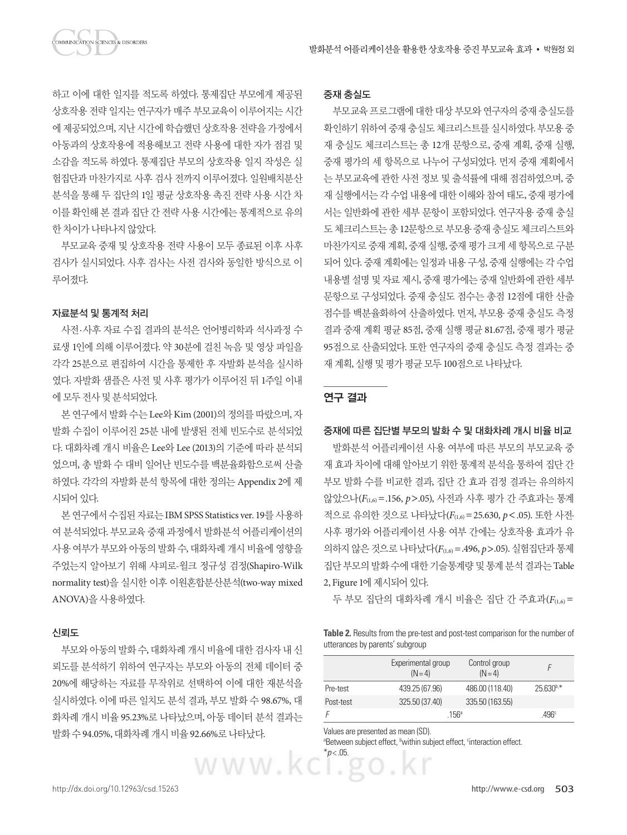하고 이에 대한 일지를 적도록 하였다. 통제집단 부모에게 제공된 상호작용 전략 일지는 연구자가 매주 부모교육이 이루어지는 시간 에 제공되었으며, 지난 시간에 학습했던 상호작용 전략을 가정에서 아동과의 상호작용에 적용해보고 전략 사용에 대한 자가 점검 및 소감을 적도록 하였다. 통제집단 부모의 상호작용 일지 작성은 실 험집단과 마찬가지로 사후 검사 전까지 이루어졌다. 일원배치분산 분석을 통해 두 집단의 1일 평균 상호작용 촉진 전략 사용 시간 차 이를 확인해 본 결과 집단 간 전략 사용 시간에는 통계적으로 유의 한 차이가 나타나지 않았다.

부모교육 중재 및 상호작용 전략 사용이 모두 종료된 이후 사후 검사가 실시되었다. 사후 검사는 사전 검사와 동일한 방식으로 이 루어졌다.

## 자료분석 및 통계적 처리

사전·사후 자료 수집 결과의 분석은 언어병리학과 석사과정 수 료생 1인에 의해 이루어졌다. 약 30분에 걸친 녹음 및 영상 파일을 각각 25분으로 편집하여 시간을 통제한 후 자발화 분석을 실시하 였다. 자발화 샘플은 사전 및 사후 평가가 이루어진 뒤 1주일 이내 에모두전사및분석되었다.

본 연구에서 발화 수는 Lee와 Kim (2001)의 정의를 따랐으며, 자 발화 수집이 이루어진 25분 내에 발생된 전체 빈도수로 분석되었 다. 대화차례 개시 비율은 Lee와 Lee (2013)의 기준에 따라 분석되 었으며, 총 발화 수 대비 일어난 빈도수를 백분율화함으로써 산출 하였다. 각각의 자발화 분석 항목에 대한 정의는 Appendix 2에 제 시되어있다.

본 연구에서 수집된 자료는 IBM SPSS Statistics ver. 19를 사용하 여 분석되었다. 부모교육 중재 과정에서 발화분석 어플리케이션의 사용 여부가 부모와 아동의 발화 수, 대화차례 개시 비율에 영향을 주었는지 알아보기 위해 샤피로-윌크 정규성 검정(Shapiro-Wilk normality test)을 실시한 이후 이원혼합분산분석(two-way mixed ANOVA)을사용하였다.

## 신뢰도

부모와 아동의 발화 수, 대화차례 개시 비율에 대한 검사자 내 신 뢰도를 분석하기 위하여 연구자는 부모와 아동의 전체 데이터 중 20%에 해당하는 자료를 무작위로 선택하여 이에 대한 재분석을 실시하였다. 이에 따른 일치도 분석 결과, 부모 발화 수 98.67%, 대 화차례 개시 비율 95.23%로 나타났으며, 아동 데이터 분석 결과는 발화수 94.05%, 대화차례개시비율 92.66%로나타났다.

#### 중재 충실도

부모교육 프로그램에 대한 대상 부모와 연구자의 중재 충실도를 확인하기 위하여 중재 충실도 체크리스트를 실시하였다. 부모용 중 재 충실도 체크리스트는 총 12개 문항으로, 중재 계획, 중재 실행, 중재 평가의 세 항목으로 나누어 구성되었다. 먼저 중재 계획에서 는 부모교육에 관한 사전 정보 및 출석률에 대해 점검하였으며, 중 재 실행에서는 각 수업 내용에 대한 이해와 참여 태도, 중재 평가에 서는 일반화에 관한 세부 문항이 포함되었다. 연구자용 중재 충실 도 체크리스트는 총 12문항으로 부모용 중재 충실도 체크리스트와 마찬가지로 중재 계획, 중재 실행, 중재 평가 크게 세 항목으로 구분 되어 있다. 중재 계획에는 일정과 내용 구성, 중재 실행에는 각 수업 내용별 설명 및 자료 제시, 중재 평가에는 중재 일반화에 관한 세부 문항으로 구성되었다. 중재 충실도 점수는 총점 12점에 대한 산출 점수를 백분율화하여 산출하였다. 먼저, 부모용 중재 충실도 측정 결과 중재 계획 평균 85점, 중재 실행 평균 81.67점, 중재 평가 평균 95점으로 산출되었다. 또한 연구자의 중재 충실도 측정 결과는 중 재 계획, 실행 및 평가 평규 모두 100점으로 나타났다.

## 연구 결과

#### 중재에 따른 집단별 부모의 발화 수 및 대화차례 개시 비율 비교

발화분석 어플리케이션 사용 여부에 따른 부모의 부모교육 중 재 효과 차이에 대해 알아보기 위한 통계적 분석을 통하여 집단 간 부모 발화 수를 비교한 결과, 집단 간 효과 검정 결과는 유의하지 않았으나(*F*(1,6)=.156, *p*>.05), 사전과 사후 평가 간 주효과는 통계 적으로 유의한 것으로 나타났다(*F*(1,6)=25.630, *p*<.05). 또한 사전· 사후 평가와 어플리케이션 사용 여부 간에는 상호작용 효과가 유 의하지 않은 것으로 나타났다(*F*(1,6)=.496, *p*>.05). 실험집단과 통제 집단 부모의 발화 수에 대한 기술통계량 및 통계 분석 결과는 Table 2, Figure 1에 제시되어 있다.

두 부모 집단의 대화차례 개시 비율은 집단 간 주효과(*F*(1,6) =

**Table 2.** Results from the pre-test and post-test comparison for the number of utterances by parents' subgroup

|           | Experimental group<br>$(N=4)$ | Control group<br>$(N=4)$ |                |
|-----------|-------------------------------|--------------------------|----------------|
| Pre-test  | 439.25 (67.96)                | 486.00 (118.40)          | $25.630^{b,*}$ |
| Post-test | 325.50 (37.40)                | 335.50 (163.55)          |                |
|           | 156 <sup>a</sup>              |                          | 496c           |

Values are presented as mean (SD).

 $\cdot \times$ 

<sup>a</sup>Between subject effect, <sup>b</sup>within subject effect, <sup>c</sup>interaction effect. www.kc\*<sub>p<.05</sub>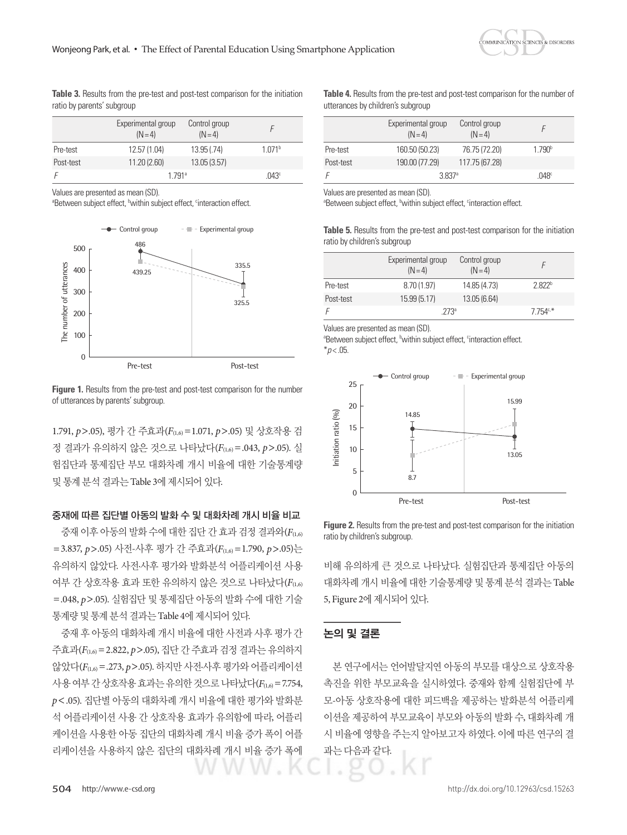

**Table 3.** Results from the pre-test and post-test comparison for the initiation ratio by parents' subgroup

|           | Experimental group<br>$(N=4)$ | Control group<br>$(N=4)$ |                    |
|-----------|-------------------------------|--------------------------|--------------------|
| Pre-test  | 12.57 (1.04)                  | 13.95(.74)               | 1.071 <sup>b</sup> |
| Post-test | 11.20(2.60)                   | 13.05(3.57)              |                    |
|           | 1 791 <sup>a</sup>            |                          | .043 <sup>c</sup>  |

Values are presented as mean (SD).

<sup>a</sup>Between subject effect, <sup>b</sup>within subject effect, <sup>c</sup>interaction effect.



**Figure 1.** Results from the pre-test and post-test comparison for the number of utterances by parents' subgroup.

1.791, *p*>.05), 평가 간 주효과(*F*(1,6)=1.071, *p*>.05) 및 상호작용 검 정 결과가 유의하지 않은 것으로 나타났다(*F*(1,6)=.043, *p*>.05). 실 험집단과 통제집단 부모 대화차례 개시 비율에 대한 기술통계량 및통계분석결과는 Table 3에제시되어있다.

## 중재에 따른 집단별 아동의 발화 수 및 대화차례 개시 비율 비교

중재 이후 아동의 발화 수에 대한 집단 간 효과 검정 결과와(*F*(1,6) =3.837, *p*>.05) 사전-사후 평가 간 주효과(*F*(1,6)=1.790, *p*>.05)는 유의하지 않았다. 사전·사후 평가와 발화분석 어플리케이션 사용 여부 간 상호작용 효과 또한 유의하지 않은 것으로 나타났다(*F*(1,6) =.048, *p*>.05). 실험집단 및 통제집단 아동의 발화 수에 대한 기술 통계량및통계분석결과는 Table 4에제시되어있다.

중재 후 아동의 대화차례 개시 비율에 대한 사전과 사후 평가 간 주효과(*F*(1,6)=2.822, *p*>.05), 집단 간 주효과 검정 결과는 유의하지 않았다(*F*(1,6)=.273, *p*>.05). 하지만 사전·사후 평가와 어플리케이션 사용여부간상호작용효과는 유의한 것으로 나타났다(F(1,6) = 7.754, *p*<.05). 집단별 아동의 대화차례 개시 비율에 대한 평가와 발화분 석 어플리케이션 사용 간 상호작용 효과가 유의함에 따라, 어플리 케이션을 사용한 아동 집단의 대화차례 개시 비율 증가 폭이 어플 리케이션을 사용하지 않은 집단의 대화차례 개시 비율 증가 폭에

**Table 4.** Results from the pre-test and post-test comparison for the number of utterances by children's subgroup

|           | Experimental group<br>$(N=4)$ | Control group<br>$(N=4)$ |                    |
|-----------|-------------------------------|--------------------------|--------------------|
| Pre-test  | 160.50 (50.23)                | 76.75 (72.20)            | 1.790 <sup>b</sup> |
| Post-test | 190.00 (77.29)                | 117.75 (67.28)           |                    |
| F         | 3.837 <sup>a</sup>            |                          | .048 <sup>c</sup>  |

Values are presented as mean (SD).

<sup>a</sup>Between subject effect, <sup>b</sup>within subject effect, <sup>c</sup>interaction effect.

**Table 5.** Results from the pre-test and post-test comparison for the initiation ratio by children's subgroup

|           | Experimental group<br>$(N=4)$ | Control group<br>$(N=4)$ |                    |
|-----------|-------------------------------|--------------------------|--------------------|
| Pre-test  | 8.70(1.97)                    | 14.85 (4.73)             | 2.822 <sup>b</sup> |
| Post-test | 15.99 (5.17)                  | 13.05(6.64)              |                    |
| F         | $773^{\circ}$                 |                          | $7754c*$           |

Values are presented as mean (SD).

<sup>a</sup>Between subject effect, <sup>b</sup>within subject effect, <sup>c</sup>interaction effect.  $*p$  < .05



**Figure 2.** Results from the pre-test and post-test comparison for the initiation ratio by children's subgroup.

비해 유의하게 큰 것으로 나타났다. 실험집단과 통제집단 아동의 대화차례 개시 비율에 대한 기술통계량 및 통계 분석 결과는 Table 5, Figure 2에 제시되어 있다.

#### 논의 및 결론

본 연구에서는 언어발달지연 아동의 부모를 대상으로 상호작용 촉진을 위한 부모교육을 실시하였다. 중재와 함께 실험집단에 부 모-아동 상호작용에 대한 피드백을 제공하는 발화분석 어플리케 이션을 제공하여 부모교육이 부모와 아동의 발화 수, 대화차례 개 시 비율에 영향을 주는지 알아보고자 하였다. 이에 따른 연구의 결 과는다음과같다.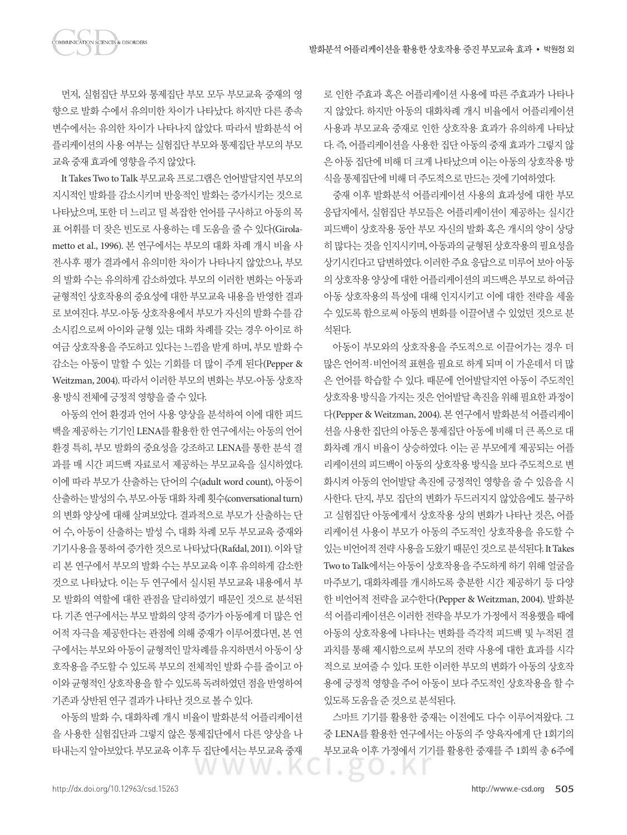**OMMUNICATION SCIENCES & DISORDERS** 

향으로 발화 수에서 유의미한 차이가 나타났다. 하지만 다른 종속 변수에서는 유의한 차이가 나타나지 않았다. 따라서 발화분석 어 플리케이션의 사용 여부는 실험집단 부모와 통제집단 부모의 부모 교육중재효과에영향을주지않았다.

It Takes Two to Talk 부모교육 프로그램은 언어발달지연 부모의 지시적인 발화를 감소시키며 반응적인 발화는 증가시키는 것으로 나타났으며, 또한 더 느리고 덜 복잡한 언어를 구사하고 아동의 목 표 어휘를 더 잦은 빈도로 사용하는 데 도움을 줄 수 있다(Girolametto et al., 1996). 본 연구에서는 부모의 대화 차례 개시 비율 사 전·사후 평가 결과에서 유의미한 차이가 나타나지 않았으나, 부모 의 발화 수는 유의하게 감소하였다. 부모의 이러한 변화는 아동과 균형적인 상호작용의 중요성에 대한 부모교육 내용을 반영한 결과 로 보여진다. 부모-아동 상호작용에서 부모가 자신의 발화 수를 감 소시킴으로써 아이와 균형 있는 대화 차례를 갖는 경우 아이로 하 여금 상호작용을 주도하고 있다는 느낌을 받게 하며, 부모 발화 수 감소는 아동이 말할 수 있는 기회를 더 많이 주게 된다(Pepper & Weitzman, 2004). 따라서 이러한 부모의 변화는 부모-아동 상호작 용 방식 전체에 긍정적 영향을 줄 수 있다.

아동의 언어 환경과 언어 사용 양상을 분석하여 이에 대한 피드 백을 제공하는 기기인 LENA를 활용한 한 연구에서는 아동의 언어 환경 특히, 부모 발화의 중요성을 강조하고 LENA를 통한 분석 결 과를 매 시간 피드백 자료로서 제공하는 부모교육을 실시하였다. 이에 따라 부모가 산출하는 단어의 수(adult word count), 아동이 산출하는발성의수, 부모-아동대화차례횟수(conversational turn) 의 변화 양상에 대해 살펴보았다. 결과적으로 부모가 산출하는 단 어 수, 아동이 산출하는 발성 수, 대화 차례 모두 부모교육 중재와 기기사용을통하여증가한것으로 나타났다(Rafdal, 2011). 이와달 리 본 연구에서 부모의 발화 수는 부모교육 이후 유의하게 감소한 것으로 나타났다. 이는 두 연구에서 실시된 부모교육 내용에서 부 모 발화의 역할에 대한 관점을 달리하였기 때문인 것으로 분석된 다. 기존 연구에서는 부모 발화의 양적 증가가 아동에게 더 많은 언 어적 자극을 제공한다는 관점에 의해 중재가 이루어졌다면, 본 연 구에서는 부모와 아동이 균형적인 말차례를 유지하면서 아동이 상 호작용을 주도할 수 있도록 부모의 전체적인 발화 수를 줄이고 아 이와 균형적인 상호작용을 할 수 있도록 독려하였던 점을 반영하여 기존과 상반된 연구 결과가 나타난 것으로 볼 수 있다.

아동의 발화 수, 대화차례 개시 비율이 발화분석 어플리케이션 을 사용한 실험집단과 그렇지 않은 통제집단에서 다른 양상을 나 타내는지 알아보았다. 부모교육 이후 두 집단에서는 부모교육 중재 로 인한 주효과 혹은 어플리케이션 사용에 따른 주효과가 나타나 지 않았다. 하지만 아동의 대화차례 개시 비율에서 어플리케이션 사용과 부모교육 중재로 인한 상호작용 효과가 유의하게 나타났 다. 즉, 어플리케이션을 사용한 집단 아동의 중재 효과가 그렇지 않 은 아동 집단에 비해 더 크게 나타났으며 이는 아동의 상호작용 방 식을통제집단에비해더주도적으로만드는것에기여하였다.

중재 이후 발화분석 어플리케이션 사용의 효과성에 대한 부모 응답지에서, 실험집단 부모들은 어플리케이션이 제공하는 실시간 피드백이 상호작용 동안 부모 자신의 발화 혹은 개시의 양이 상당 히 많다는 것을 인지시키며, 아동과의 균형된 상호작용의 필요성을 상기시킨다고 답변하였다. 이러한 주요 응답으로 미루어 보아 아동 의 상호작용 양상에 대한 어플리케이션의 피드백은 부모로 하여금 아동 상호작용의 특성에 대해 인지시키고 이에 대한 전략을 세울 수 있도록 함으로써 아동의 변화를 이끌어낼 수 있었던 것으로 분 석된다.

아동이 부모와의 상호작용을 주도적으로 이끌어가는 경우 더 많은 언어적·비언어적 표현을 필요로 하게 되며 이 가운데서 더 많 은 언어를 학습할 수 있다. 때문에 언어발달지연 아동이 주도적인 상호작용 방식을 가지는 것은 언어발달 촉진을 위해 필요한 과정이 다(Pepper & Weitzman, 2004). 본 연구에서 발화분석 어플리케이 션을 사용한 집단의 아동은 통제집단 아동에 비해 더 큰 폭으로 대 화차례 개시 비율이 상승하였다. 이는 곧 부모에게 제공되는 어플 리케이션의 피드백이 아동의 상호작용 방식을 보다 주도적으로 변 화시켜 아동의 언어발달 촉진에 긍정적인 영향을 줄 수 있음을 시 사한다. 단지, 부모 집단의 변화가 두드러지지 않았음에도 불구하 고 실험집단 아동에게서 상호작용 상의 변화가 나타난 것은, 어플 리케이션 사용이 부모가 아동의 주도적인 상호작용을 유도할 수 있는 비언어적 전략 사용을 도왔기 때문인 것으로 분석된다. It Takes Two to Talk에서는 아동이 상호작용을 주도하게 하기 위해 얼굴을 마주보기, 대화차례를 개시하도록 충분한 시간 제공하기 등 다양 한 비언어적 전략을 교수한다(Pepper & Weitzman, 2004). 발화분 석 어플리케이션은 이러한 전략을 부모가 가정에서 적용했을 때에 아동의 상호작용에 나타나는 변화를 즉각적 피드백 및 누적된 결 과치를 통해 제시함으로써 부모의 전략 사용에 대한 효과를 시각 적으로 보여줄 수 있다. 또한 이러한 부모의 변화가 아동의 상호작 용에 긍정적 영향을 주어 아동이 보다 주도적인 상호작용을 할 수 있도록도움을준것으로분석된다.

스마트 기기를 활용한 중재는 이전에도 다수 이루어져왔다. 그 중 LENA를 활용한 연구에서는 아동의 주 양육자에게 단 1회기의 부모교육 이후 가정에서 기기를 활용한 중재를 주 1회씩 총 6주에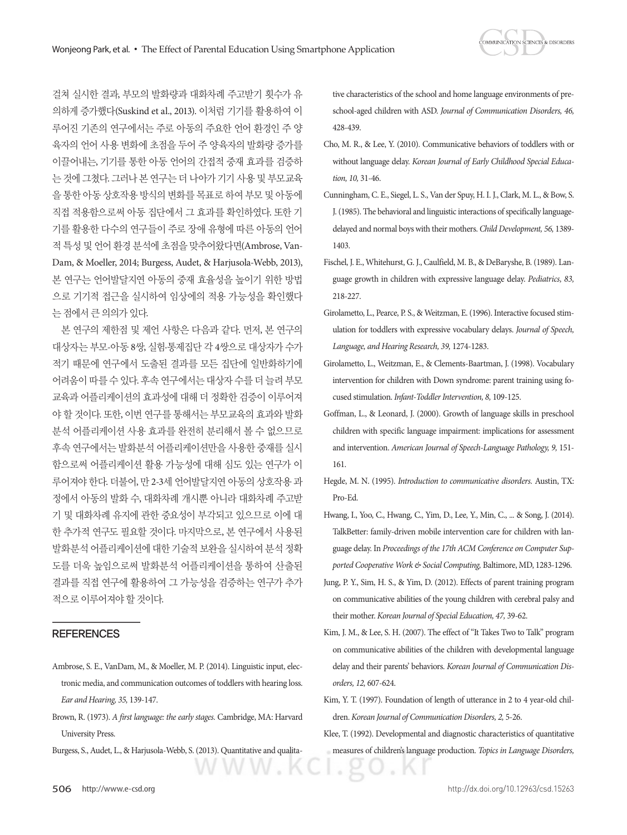걸쳐 실시한 결과, 부모의 발화량과 대화차례 주고받기 횟수가 유 의하게 증가했다(Suskind et al., 2013). 이처럼 기기를 활용하여 이 루어진 기존의 연구에서는 주로 아동의 주요한 언어 환경인 주 양 육자의 언어 사용 변화에 초점을 두어 주 양육자의 발화량 증가를 이끌어내는, 기기를 통한 아동 언어의 간접적 중재 효과를 검증하 는 것에 그쳤다. 그러나 본 연구는 더 나아가 기기 사용 및 부모교육 을 통한 아동 상호작용 방식의 변화를 목표로 하여 부모 및 아동에 직접 적용함으로써 아동 집단에서 그 효과를 확인하였다. 또한 기 기를 활용한 다수의 연구들이 주로 장애 유형에 따른 아동의 언어 적 특성 및 언어 환경 분석에 초점을 맞추어왔다면(Ambrose, Van-Dam, & Moeller, 2014; Burgess, Audet, & Harjusola-Webb, 2013), 본 연구는 언어발달지연 아동의 중재 효율성을 높이기 위한 방법 으로 기기적 접근을 실시하여 임상에의 적용 가능성을 확인했다 는점에서큰의의가있다.

본 연구의 제한점 및 제언 사항은 다음과 같다. 먼저, 본 연구의 대상자는 부모-아동 8쌍, 실험·통제집단 각 4쌍으로 대상자가 수가 적기 때문에 연구에서 도출된 결과를 모든 집단에 일반화하기에 어려움이 따를 수 있다. 후속 연구에서는 대상자 수를 더 늘려 부모 교육과 어플리케이션의 효과성에 대해 더 정확한 검증이 이루어져 야 할 것이다. 또한, 이번 연구를 통해서는 부모교육의 효과와 발화 분석 어플리케이션 사용 효과를 완전히 분리해서 볼 수 없으므로 후속 연구에서는 발화분석 어플리케이션만을 사용한 중재를 실시 함으로써 어플리케이션 활용 가능성에 대해 심도 있는 연구가 이 루어져야 한다. 더불어, 만 2-3세 언어발달지연 아동의 상호작용 과 정에서 아동의 발화 수, 대화차례 개시뿐 아니라 대화차례 주고받 기 및 대화차례 유지에 관한 중요성이 부각되고 있으므로 이에 대 한 추가적 연구도 필요할 것이다. 마지막으로, 본 연구에서 사용된 발화부석 어플리케이션에 대한 기술적 보완을 실시하여 부석 정확 도를 더욱 높임으로써 발화분석 어플리케이션을 통하여 산출된 결과를 직접 연구에 활용하여 그 가능성을 검증하는 연구가 추가 적으로이루어져야할것이다.

## **REFERENCES**

- Ambrose, S. E., VanDam, M., & Moeller, M. P. (2014). Linguistic input, electronic media, and communication outcomes of toddlers with hearing loss. *Ear and Hearing, 35,* 139-147.
- Brown, R. (1973). *A first language: the early stages.* Cambridge, MA: Harvard University Press.
- Burgess, S., Audet, L., & Harjusola-Webb, S. (2013). Quantitative and qualita-

WW.K

tive characteristics of the school and home language environments of preschool-aged children with ASD. *Journal of Communication Disorders, 46,* 428-439.

- Cho, M. R., & Lee, Y. (2010). Communicative behaviors of toddlers with or without language delay. *Korean Journal of Early Childhood Special Education, 10,* 31-46.
- Cunningham, C. E., Siegel, L. S., Van der Spuy, H. I. J., Clark, M. L., & Bow, S. J. (1985). The behavioral and linguistic interactions of specifically languagedelayed and normal boys with their mothers. *Child Development, 56,* 1389- 1403.
- Fischel, J. E., Whitehurst, G. J., Caulfield, M. B., & DeBaryshe, B. (1989). Language growth in children with expressive language delay. *Pediatrics, 83,* 218-227.
- Girolametto, L., Pearce, P. S., & Weitzman, E. (1996). Interactive focused stimulation for toddlers with expressive vocabulary delays. *Journal of Speech, Language, and Hearing Research, 39,* 1274-1283.
- Girolametto, L., Weitzman, E., & Clements-Baartman, J. (1998). Vocabulary intervention for children with Down syndrome: parent training using focused stimulation. *Infant-Toddler Intervention, 8,* 109-125.
- Goffman, L., & Leonard, J. (2000). Growth of language skills in preschool children with specific language impairment: implications for assessment and intervention. *American Journal of Speech-Language Pathology, 9,* 151- 161.
- Hegde, M. N. (1995). *Introduction to communicative disorders.* Austin, TX: Pro-Ed.
- Hwang, I., Yoo, C., Hwang, C., Yim, D., Lee, Y., Min, C., ... & Song, J. (2014). TalkBetter: family-driven mobile intervention care for children with language delay. In *Proceedings of the 17th ACM Conference on Computer Supported Cooperative Work & Social Computing,* Baltimore, MD, 1283-1296.
- Jung, P. Y., Sim, H. S., & Yim, D. (2012). Effects of parent training program on communicative abilities of the young children with cerebral palsy and their mother. *Korean Journal of Special Education, 47,* 39-62.
- Kim, J. M., & Lee, S. H. (2007). The effect of "It Takes Two to Talk" program on communicative abilities of the children with developmental language delay and their parents' behaviors. *Korean Journal of Communication Disorders, 12,* 607-624.
- Kim, Y. T. (1997). Foundation of length of utterance in 2 to 4 year-old children. *Korean Journal of Communication Disorders, 2,* 5-26.
- Klee, T. (1992). Developmental and diagnostic characteristics of quantitative measures of children's language production. *Topics in Language Disorders,*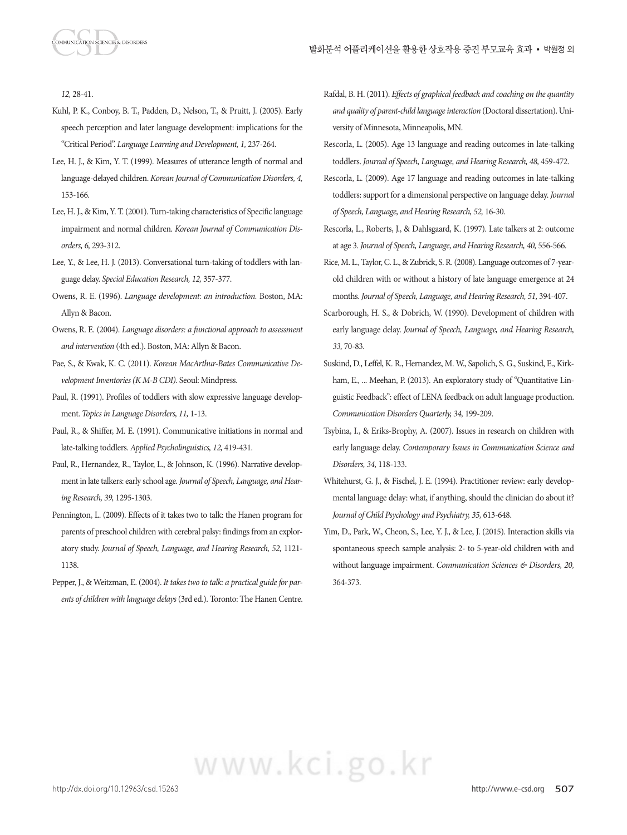*12,* 28-41.

- Kuhl, P. K., Conboy, B. T., Padden, D., Nelson, T., & Pruitt, J. (2005). Early speech perception and later language development: implications for the "Critical Period". *Language Learning and Development, 1,* 237-264.
- Lee, H. J., & Kim, Y. T. (1999). Measures of utterance length of normal and language-delayed children. *Korean Journal of Communication Disorders, 4,* 153-166.
- Lee, H. J., & Kim, Y. T. (2001). Turn-taking characteristics of Specific language impairment and normal children. *Korean Journal of Communication Disorders, 6,* 293-312.
- Lee, Y., & Lee, H. J. (2013). Conversational turn-taking of toddlers with language delay. *Special Education Research, 12,* 357-377.
- Owens, R. E. (1996). *Language development: an introduction.* Boston, MA: Allyn & Bacon.
- Owens, R. E. (2004). *Language disorders: a functional approach to assessment and intervention* (4th ed.). Boston, MA: Allyn & Bacon.
- Pae, S., & Kwak, K. C. (2011). *Korean MacArthur-Bates Communicative Development Inventories (K M-B CDI).* Seoul: Mindpress.
- Paul, R. (1991). Profiles of toddlers with slow expressive language development. *Topics in Language Disorders, 11,* 1-13.
- Paul, R., & Shiffer, M. E. (1991). Communicative initiations in normal and late-talking toddlers. *Applied Psycholinguistics, 12,* 419-431.
- Paul, R., Hernandez, R., Taylor, L., & Johnson, K. (1996). Narrative development in late talkers: early school age. *Journal of Speech, Language, and Hearing Research, 39,* 1295-1303.
- Pennington, L. (2009). Effects of it takes two to talk: the Hanen program for parents of preschool children with cerebral palsy: findings from an exploratory study. *Journal of Speech, Language, and Hearing Research, 52,* 1121- 1138.
- Pepper, J., & Weitzman, E. (2004). *It takes two to talk: a practical guide for parents of children with language delays* (3rd ed.). Toronto: The Hanen Centre.
- Rafdal, B. H. (2011). *Effects of graphical feedback and coaching on the quantity and quality of parent-child language interaction* (Doctoral dissertation). University of Minnesota, Minneapolis, MN.
- Rescorla, L. (2005). Age 13 language and reading outcomes in late-talking toddlers. *Journal of Speech, Language, and Hearing Research, 48,* 459-472.
- Rescorla, L. (2009). Age 17 language and reading outcomes in late-talking toddlers: support for a dimensional perspective on language delay. *Journal of Speech, Language, and Hearing Research, 52,* 16-30.
- Rescorla, L., Roberts, J., & Dahlsgaard, K. (1997). Late talkers at 2: outcome at age 3. *Journal of Speech, Language, and Hearing Research, 40,* 556-566.
- Rice, M. L., Taylor, C. L., & Zubrick, S. R. (2008). Language outcomes of 7-yearold children with or without a history of late language emergence at 24 months. *Journal of Speech, Language, and Hearing Research, 51,* 394-407.
- Scarborough, H. S., & Dobrich, W. (1990). Development of children with early language delay. *Journal of Speech, Language, and Hearing Research, 33,* 70-83.
- Suskind, D., Leffel, K. R., Hernandez, M. W., Sapolich, S. G., Suskind, E., Kirkham, E., ... Meehan, P. (2013). An exploratory study of "Quantitative Linguistic Feedback": effect of LENA feedback on adult language production. *Communication Disorders Quarterly, 34,* 199-209.
- Tsybina, I., & Eriks-Brophy, A. (2007). Issues in research on children with early language delay. *Contemporary Issues in Communication Science and Disorders, 34,* 118-133.
- Whitehurst, G. J., & Fischel, J. E. (1994). Practitioner review: early developmental language delay: what, if anything, should the clinician do about it? *Journal of Child Psychology and Psychiatry, 35,* 613-648.
- Yim, D., Park, W., Cheon, S., Lee, Y. J., & Lee, J. (2015). Interaction skills via spontaneous speech sample analysis: 2- to 5-year-old children with and without language impairment. *Communication Sciences & Disorders, 20,*  364-373.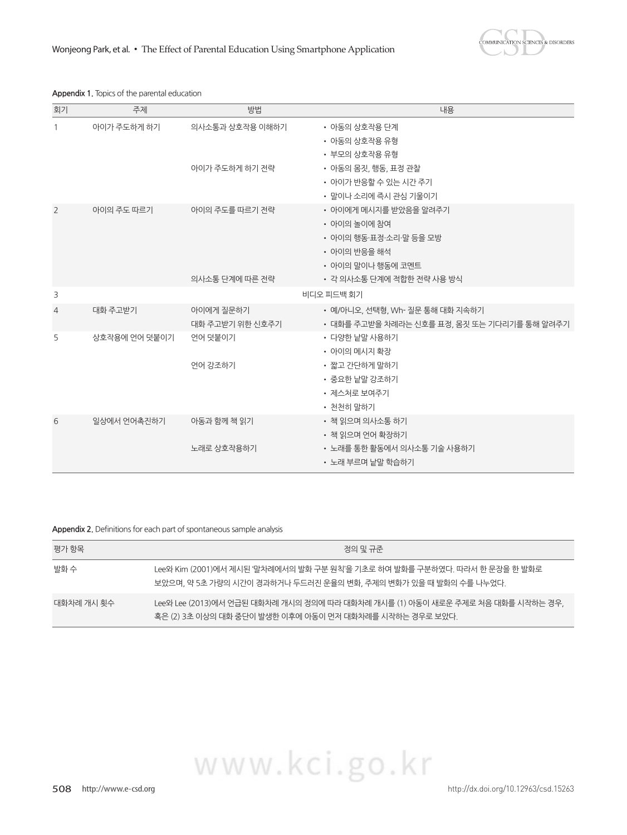**COMMUNICATION SCIENCES & DISORDERS** 

## **Appendix 1.** Topics of the parental education

| 회기             | 주제            | 방법                               | 내용                                                                                                                                |
|----------------|---------------|----------------------------------|-----------------------------------------------------------------------------------------------------------------------------------|
| $\mathbf{1}$   | 아이가 주도하게 하기   | 의사소통과 상호작용 이해하기                  | • 아동의 상호작용 단계<br>• 아동의 상호작용 유형<br>• 부모의 상호작용 유형                                                                                   |
|                |               | 아이가 주도하게 하기 전략                   | • 아동의 몸짓, 행동, 표정 관찰<br>• 아이가 반응할 수 있는 시간 주기<br>• 말이나 소리에 즉시 관심 기울이기                                                               |
| 2              | 아이의 주도 따르기    | 아이의 주도를 따르기 전략<br>의사소통 단계에 따른 전략 | • 아이에게 메시지를 받았음을 알려주기<br>• 아이의 놀이에 참여<br>• 아이의 행동·표정·소리·말 등을 모방<br>• 아이의 반응을 해석<br>• 아이의 말이나 행동에 코멘트<br>• 각 의사소통 단계에 적합한 전략 사용 방식 |
| 3              |               |                                  | 비디오 피드백 회기                                                                                                                        |
| $\overline{4}$ | 대화 주고받기       | 아이에게 질문하기<br>대화 주고받기 위한 신호주기     | • 예/아니오, 선택형, Wh- 질문 통해 대화 지속하기<br>• 대화를 주고받을 차례라는 신호를 표정, 몸짓 또는 기다리기를 통해 알려주기                                                    |
| 5              | 상호작용에 언어 덧붙이기 | 언어 덧붙이기<br>언어 강조하기               | • 다양한 낱말 사용하기<br>• 아이의 메시지 확장<br>• 짧고 간단하게 말하기<br>• 중요한 낱말 강조하기<br>• 제스처로 보여주기<br>• 천천히 말하기                                       |
| 6              | 일상에서 언어촉진하기   | 아동과 함께 책 읽기<br>노래로 상호작용하기        | • 책 읽으며 의사소통 하기<br>• 책 읽으며 언어 확장하기<br>• 노래를 통한 활동에서 의사소통 기술 사용하기<br>• 노래 부르며 낟말 학습하기                                              |

## **Appendix 2.** Definitions for each part of spontaneous sample analysis

| 평가 항목      | 정의 및 규주                                                                                                                                       |
|------------|-----------------------------------------------------------------------------------------------------------------------------------------------|
| 발화 수       | Lee와 Kim (2001)에서 제시된 '말차례에서의 발화 구부 워칙'을 기초로 하여 발화를 구부하였다. 따라서 하 문장을 하 발화로<br>보았으며, 약 5초 가량의 시간이 경과하거나 두드러진 운율의 변화, 주제의 변화가 있을 때 발화의 수를 나누었다. |
| 대화차례 개시 횟수 | _Lee와 Lee (2013)에서 언급된 대화차례 개시의 정의에 따라 대화차례 개시를 (1) 아동이 새로운 주제로 처음 대화를 시작하는 경우,<br>혹은 (2) 3초 이상의 대화 중단이 발생한 이후에 아동이 먼저 대화차례를 시작하는 경우로 보았다.    |

508 http://www.e-csd.org http://dx.doi.org/10.12963/csd.15263